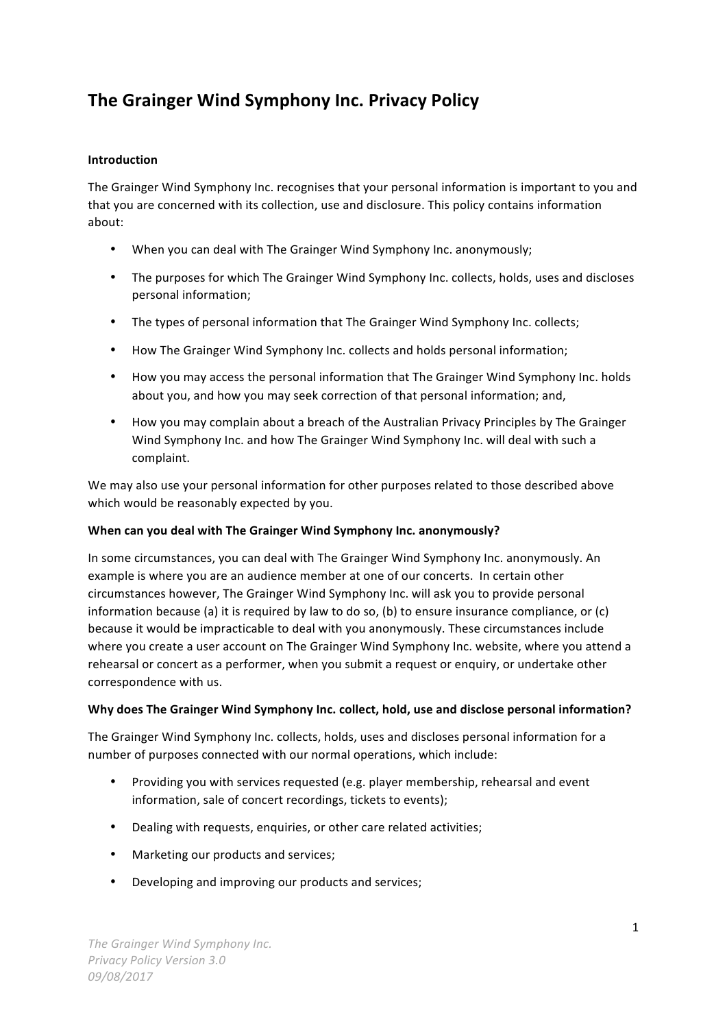# **The Grainger Wind Symphony Inc. Privacy Policy**

# **Introduction**

The Grainger Wind Symphony Inc. recognises that your personal information is important to you and that you are concerned with its collection, use and disclosure. This policy contains information about:

- When you can deal with The Grainger Wind Symphony Inc. anonymously;
- The purposes for which The Grainger Wind Symphony Inc. collects, holds, uses and discloses personal information;
- The types of personal information that The Grainger Wind Symphony Inc. collects;
- How The Grainger Wind Symphony Inc. collects and holds personal information;
- How you may access the personal information that The Grainger Wind Symphony Inc. holds about you, and how you may seek correction of that personal information; and,
- How you may complain about a breach of the Australian Privacy Principles by The Grainger Wind Symphony Inc. and how The Grainger Wind Symphony Inc. will deal with such a complaint.

We may also use your personal information for other purposes related to those described above which would be reasonably expected by you.

# When can you deal with The Grainger Wind Symphony Inc. anonymously?

In some circumstances, you can deal with The Grainger Wind Symphony Inc. anonymously. An example is where you are an audience member at one of our concerts. In certain other circumstances however, The Grainger Wind Symphony Inc. will ask you to provide personal information because (a) it is required by law to do so, (b) to ensure insurance compliance, or (c) because it would be impracticable to deal with you anonymously. These circumstances include where you create a user account on The Grainger Wind Symphony Inc. website, where you attend a rehearsal or concert as a performer, when you submit a request or enquiry, or undertake other correspondence with us.

# Why does The Grainger Wind Symphony Inc. collect, hold, use and disclose personal information?

The Grainger Wind Symphony Inc. collects, holds, uses and discloses personal information for a number of purposes connected with our normal operations, which include:

- Providing you with services requested (e.g. player membership, rehearsal and event information, sale of concert recordings, tickets to events);
- Dealing with requests, enquiries, or other care related activities;
- Marketing our products and services;
- Developing and improving our products and services;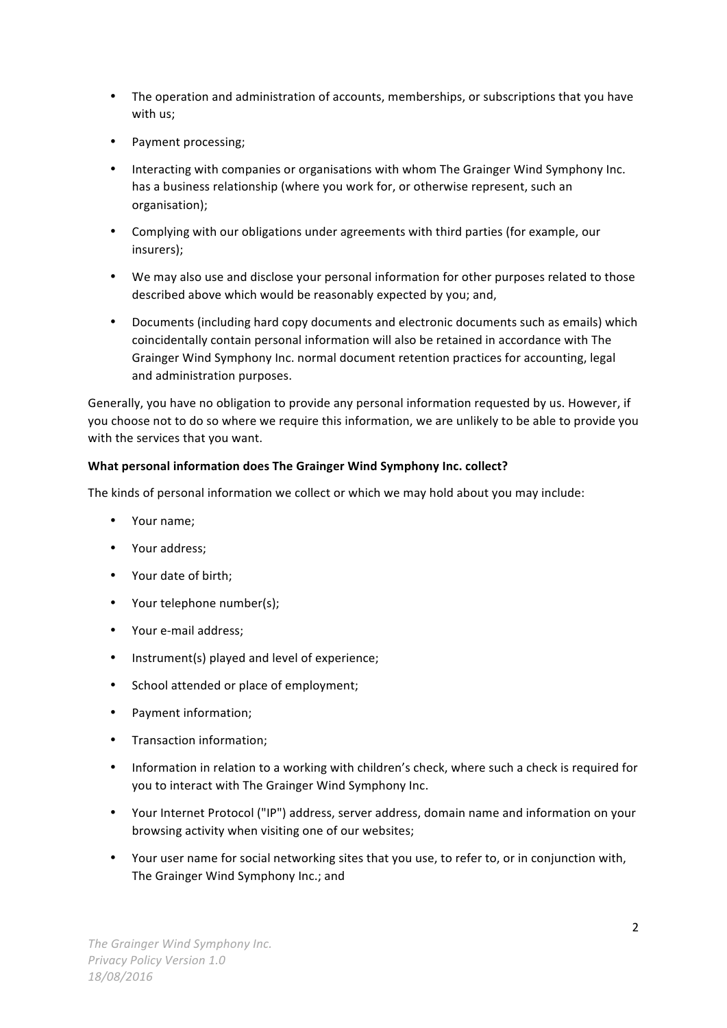- The operation and administration of accounts, memberships, or subscriptions that you have with us;
- Payment processing;
- Interacting with companies or organisations with whom The Grainger Wind Symphony Inc. has a business relationship (where you work for, or otherwise represent, such an organisation);
- Complying with our obligations under agreements with third parties (for example, our insurers);
- We may also use and disclose your personal information for other purposes related to those described above which would be reasonably expected by you; and,
- Documents (including hard copy documents and electronic documents such as emails) which coincidentally contain personal information will also be retained in accordance with The Grainger Wind Symphony Inc. normal document retention practices for accounting, legal and administration purposes.

Generally, you have no obligation to provide any personal information requested by us. However, if you choose not to do so where we require this information, we are unlikely to be able to provide you with the services that you want.

# What personal information does The Grainger Wind Symphony Inc. collect?

The kinds of personal information we collect or which we may hold about you may include:

- Your name;
- Your address;
- Your date of birth;
- Your telephone number(s);
- Your e-mail address;
- Instrument(s) played and level of experience;
- School attended or place of employment;
- Payment information;
- Transaction information;
- Information in relation to a working with children's check, where such a check is required for you to interact with The Grainger Wind Symphony Inc.
- Your Internet Protocol ("IP") address, server address, domain name and information on your browsing activity when visiting one of our websites;
- Your user name for social networking sites that you use, to refer to, or in conjunction with, The Grainger Wind Symphony Inc.; and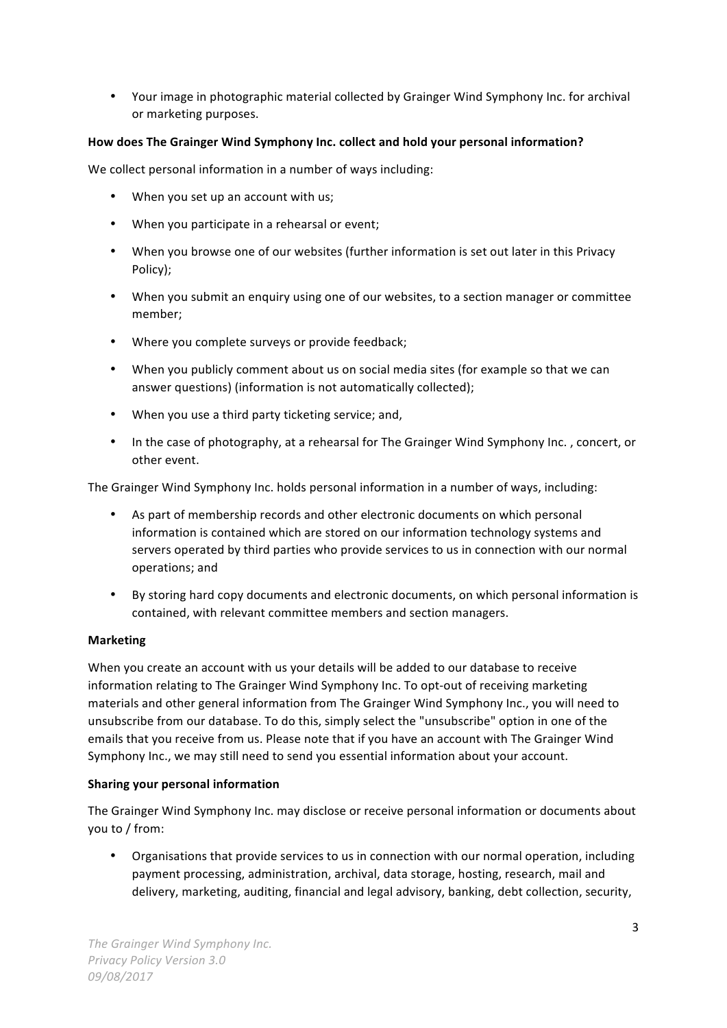• Your image in photographic material collected by Grainger Wind Symphony Inc. for archival or marketing purposes.

# How does The Grainger Wind Symphony Inc. collect and hold your personal information?

We collect personal information in a number of ways including:

- When you set up an account with us;
- When you participate in a rehearsal or event;
- When you browse one of our websites (further information is set out later in this Privacy Policy);
- When you submit an enquiry using one of our websites, to a section manager or committee member;
- Where you complete surveys or provide feedback;
- When you publicly comment about us on social media sites (for example so that we can answer questions) (information is not automatically collected);
- When you use a third party ticketing service; and,
- In the case of photography, at a rehearsal for The Grainger Wind Symphony Inc., concert, or other event.

The Grainger Wind Symphony Inc. holds personal information in a number of ways, including:

- As part of membership records and other electronic documents on which personal information is contained which are stored on our information technology systems and servers operated by third parties who provide services to us in connection with our normal operations; and
- By storing hard copy documents and electronic documents, on which personal information is contained, with relevant committee members and section managers.

# **Marketing**

When you create an account with us your details will be added to our database to receive information relating to The Grainger Wind Symphony Inc. To opt-out of receiving marketing materials and other general information from The Grainger Wind Symphony Inc., you will need to unsubscribe from our database. To do this, simply select the "unsubscribe" option in one of the emails that you receive from us. Please note that if you have an account with The Grainger Wind Symphony Inc., we may still need to send you essential information about your account.

# **Sharing your personal information**

The Grainger Wind Symphony Inc. may disclose or receive personal information or documents about you to / from:

• Organisations that provide services to us in connection with our normal operation, including payment processing, administration, archival, data storage, hosting, research, mail and delivery, marketing, auditing, financial and legal advisory, banking, debt collection, security,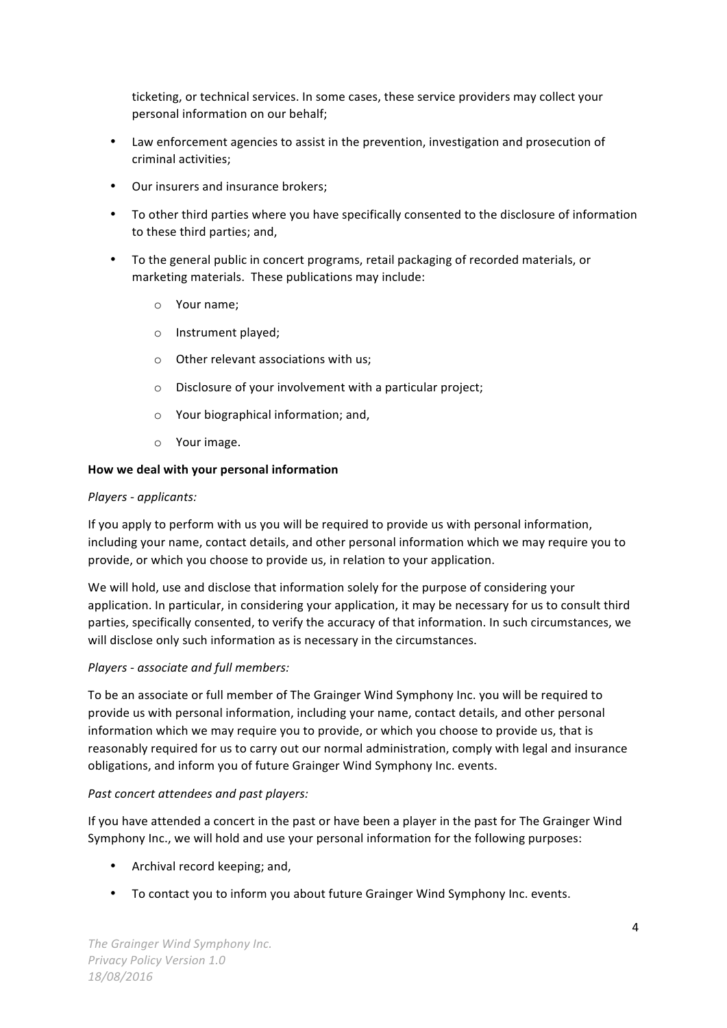ticketing, or technical services. In some cases, these service providers may collect your personal information on our behalf;

- Law enforcement agencies to assist in the prevention, investigation and prosecution of criminal activities;
- Our insurers and insurance brokers;
- To other third parties where you have specifically consented to the disclosure of information to these third parties; and,
- To the general public in concert programs, retail packaging of recorded materials, or marketing materials. These publications may include:
	- o Your name:
	- o Instrument played;
	- $\circ$  Other relevant associations with us:
	- $\circ$  Disclosure of your involvement with a particular project;
	- $\circ$  Your biographical information; and,
	- $\circ$  Your image.

#### How we deal with your personal information

#### *Players - applicants:*

If you apply to perform with us you will be required to provide us with personal information, including your name, contact details, and other personal information which we may require you to provide, or which you choose to provide us, in relation to your application.

We will hold, use and disclose that information solely for the purpose of considering your application. In particular, in considering your application, it may be necessary for us to consult third parties, specifically consented, to verify the accuracy of that information. In such circumstances, we will disclose only such information as is necessary in the circumstances.

#### *Players - associate and full members:*

To be an associate or full member of The Grainger Wind Symphony Inc. you will be required to provide us with personal information, including your name, contact details, and other personal information which we may require you to provide, or which you choose to provide us, that is reasonably required for us to carry out our normal administration, comply with legal and insurance obligations, and inform you of future Grainger Wind Symphony Inc. events.

#### *Past concert attendees and past players:*

If you have attended a concert in the past or have been a player in the past for The Grainger Wind Symphony Inc., we will hold and use your personal information for the following purposes:

- Archival record keeping; and,
- To contact you to inform you about future Grainger Wind Symphony Inc. events.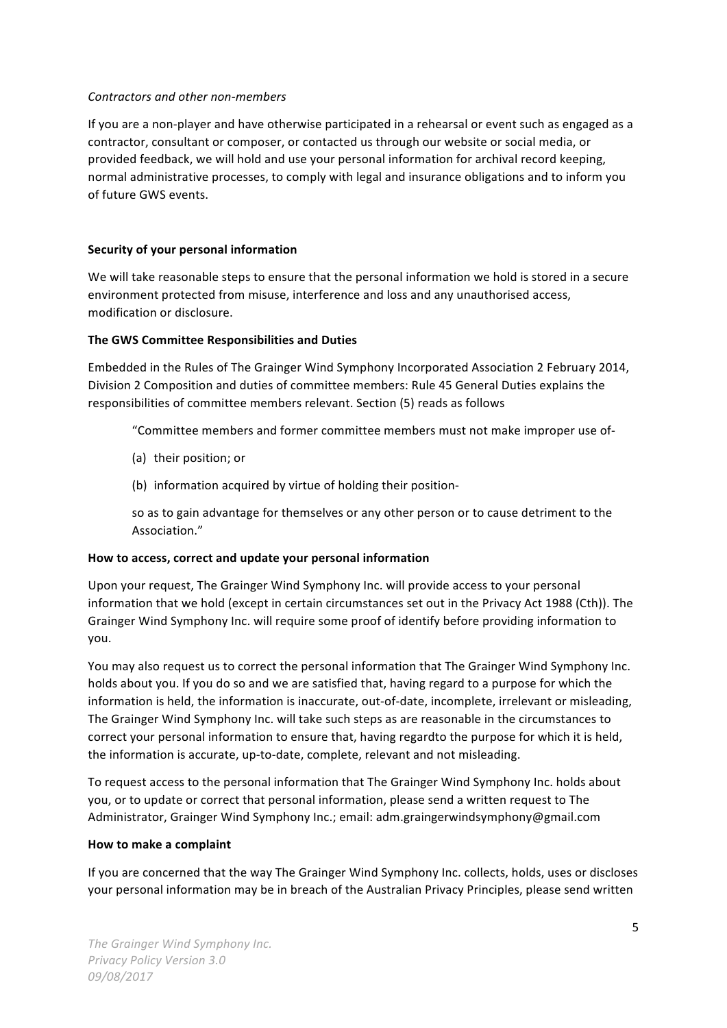#### *Contractors and other non-members*

If you are a non-player and have otherwise participated in a rehearsal or event such as engaged as a contractor, consultant or composer, or contacted us through our website or social media, or provided feedback, we will hold and use your personal information for archival record keeping, normal administrative processes, to comply with legal and insurance obligations and to inform you of future GWS events.

# **Security of your personal information**

We will take reasonable steps to ensure that the personal information we hold is stored in a secure environment protected from misuse, interference and loss and any unauthorised access, modification or disclosure.

## **The GWS Committee Responsibilities and Duties**

Embedded in the Rules of The Grainger Wind Symphony Incorporated Association 2 February 2014, Division 2 Composition and duties of committee members: Rule 45 General Duties explains the responsibilities of committee members relevant. Section (5) reads as follows

"Committee members and former committee members must not make improper use of-

- (a) their position; or
- (b) information acquired by virtue of holding their position-

so as to gain advantage for themselves or any other person or to cause detriment to the Association."

#### How to access, correct and update your personal information

Upon your request, The Grainger Wind Symphony Inc. will provide access to your personal information that we hold (except in certain circumstances set out in the Privacy Act 1988 (Cth)). The Grainger Wind Symphony Inc. will require some proof of identify before providing information to you.

You may also request us to correct the personal information that The Grainger Wind Symphony Inc. holds about you. If you do so and we are satisfied that, having regard to a purpose for which the information is held, the information is inaccurate, out-of-date, incomplete, irrelevant or misleading, The Grainger Wind Symphony Inc. will take such steps as are reasonable in the circumstances to correct your personal information to ensure that, having regardto the purpose for which it is held, the information is accurate, up-to-date, complete, relevant and not misleading.

To request access to the personal information that The Grainger Wind Symphony Inc. holds about you, or to update or correct that personal information, please send a written request to The Administrator, Grainger Wind Symphony Inc.; email: adm.graingerwindsymphony@gmail.com

#### **How to make a complaint**

If you are concerned that the way The Grainger Wind Symphony Inc. collects, holds, uses or discloses your personal information may be in breach of the Australian Privacy Principles, please send written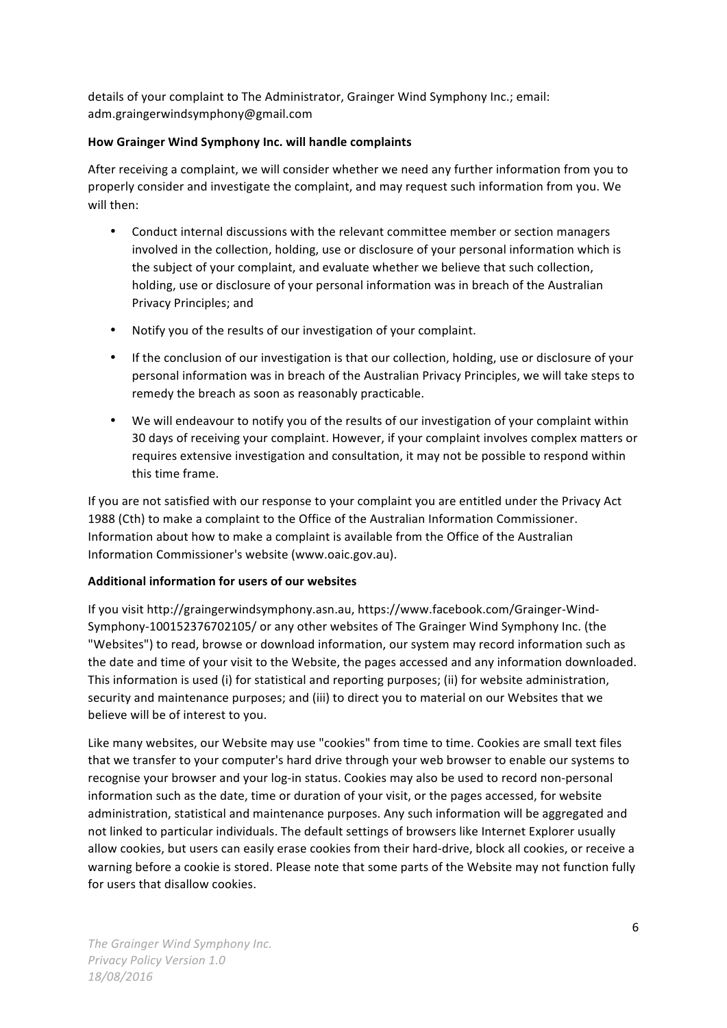details of your complaint to The Administrator, Grainger Wind Symphony Inc.; email: adm.graingerwindsymphony@gmail.com

# How Grainger Wind Symphony Inc. will handle complaints

After receiving a complaint, we will consider whether we need any further information from you to properly consider and investigate the complaint, and may request such information from you. We will then:

- Conduct internal discussions with the relevant committee member or section managers involved in the collection, holding, use or disclosure of your personal information which is the subject of your complaint, and evaluate whether we believe that such collection, holding, use or disclosure of your personal information was in breach of the Australian Privacy Principles; and
- Notify you of the results of our investigation of your complaint.
- If the conclusion of our investigation is that our collection, holding, use or disclosure of your personal information was in breach of the Australian Privacy Principles, we will take steps to remedy the breach as soon as reasonably practicable.
- We will endeavour to notify you of the results of our investigation of your complaint within 30 days of receiving your complaint. However, if your complaint involves complex matters or requires extensive investigation and consultation, it may not be possible to respond within this time frame.

If you are not satisfied with our response to your complaint you are entitled under the Privacy Act 1988 (Cth) to make a complaint to the Office of the Australian Information Commissioner. Information about how to make a complaint is available from the Office of the Australian Information Commissioner's website (www.oaic.gov.au).

# Additional information for users of our websites

If you visit http://graingerwindsymphony.asn.au, https://www.facebook.com/Grainger-Wind-Symphony-100152376702105/ or any other websites of The Grainger Wind Symphony Inc. (the "Websites") to read, browse or download information, our system may record information such as the date and time of your visit to the Website, the pages accessed and any information downloaded. This information is used (i) for statistical and reporting purposes; (ii) for website administration, security and maintenance purposes; and (iii) to direct you to material on our Websites that we believe will be of interest to you.

Like many websites, our Website may use "cookies" from time to time. Cookies are small text files that we transfer to your computer's hard drive through your web browser to enable our systems to recognise your browser and your log-in status. Cookies may also be used to record non-personal information such as the date, time or duration of your visit, or the pages accessed, for website administration, statistical and maintenance purposes. Any such information will be aggregated and not linked to particular individuals. The default settings of browsers like Internet Explorer usually allow cookies, but users can easily erase cookies from their hard-drive, block all cookies, or receive a warning before a cookie is stored. Please note that some parts of the Website may not function fully for users that disallow cookies.